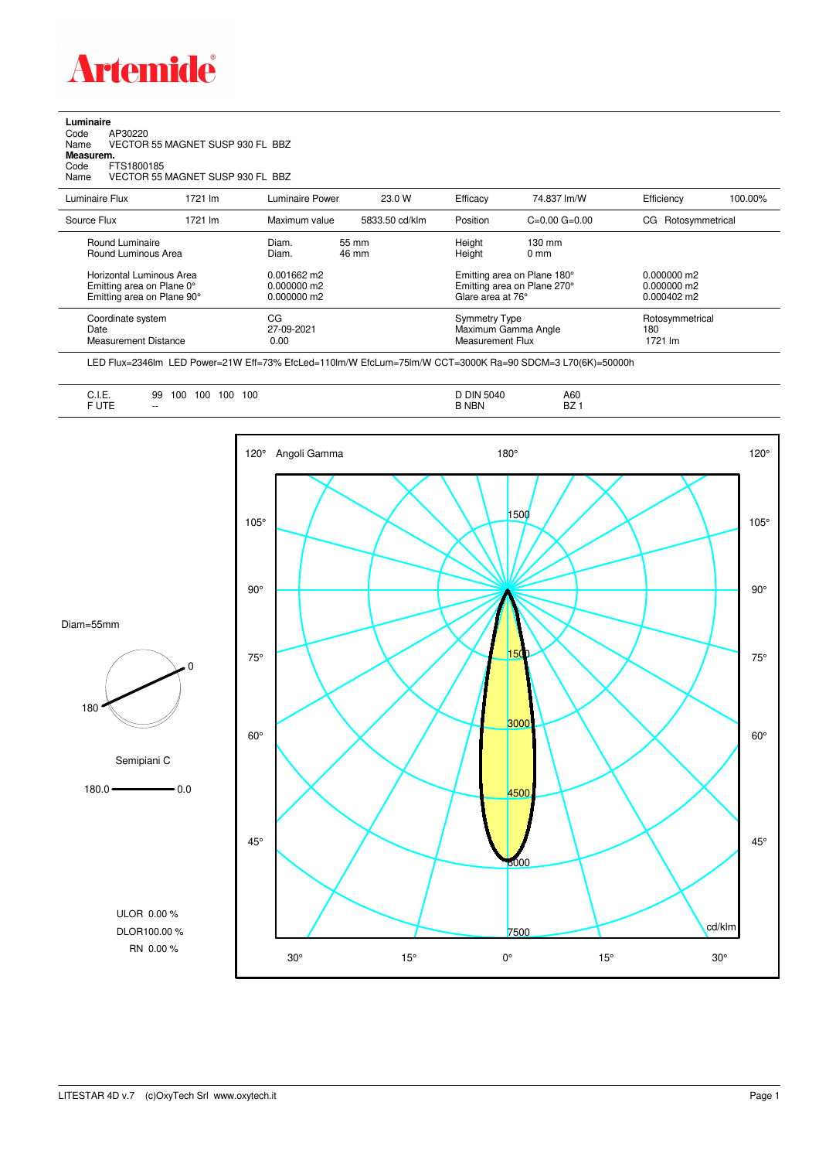

## **Luminaire**<br>Code<br>Name Code AP30220 Name VECTOR 55 MAGNET SUSP 930 FL BBZ **Measurem.** Code FTS1800185 Name VECTOR 55 MAGNET SUSP 930 FL BBZ

| Luminaire Flux                                                                      | 1721 lm | Luminaire Power                               | 23.0 W         | Efficacy                                 | 74.837 lm/W                                                                     | Efficiency                        | 100.00% |
|-------------------------------------------------------------------------------------|---------|-----------------------------------------------|----------------|------------------------------------------|---------------------------------------------------------------------------------|-----------------------------------|---------|
| Source Flux                                                                         | 1721 lm | Maximum value                                 | 5833.50 cd/klm | Position                                 | $C=0.00$ $G=0.00$                                                               | Rotosymmetrical<br>CG.            |         |
| Round Luminaire<br>Round Luminous Area                                              |         | Diam.<br>Diam.                                | 55 mm<br>46 mm | Height<br>Height                         | $130 \text{ mm}$<br>$0 \text{ mm}$                                              |                                   |         |
| Horizontal Luminous Area<br>Emitting area on Plane 0°<br>Emitting area on Plane 90° |         | 0.001662 m2<br>$0.000000$ m2<br>$0.000000$ m2 |                |                                          | Emitting area on Plane 180°<br>Emitting area on Plane 270°<br>Glare area at 76° |                                   |         |
| Coordinate system<br>Date<br>Measurement Distance                                   |         | CG<br>27-09-2021<br>0.00                      |                | <b>Symmetry Type</b><br>Measurement Flux | Maximum Gamma Angle                                                             | Rotosymmetrical<br>180<br>1721 Im |         |

LED Flux=2346lm LED Power=21W Eff=73% EfcLed=110lm/W EfcLum=75lm/W CCT=3000K Ra=90 SDCM=3 L70(6K)=50000h